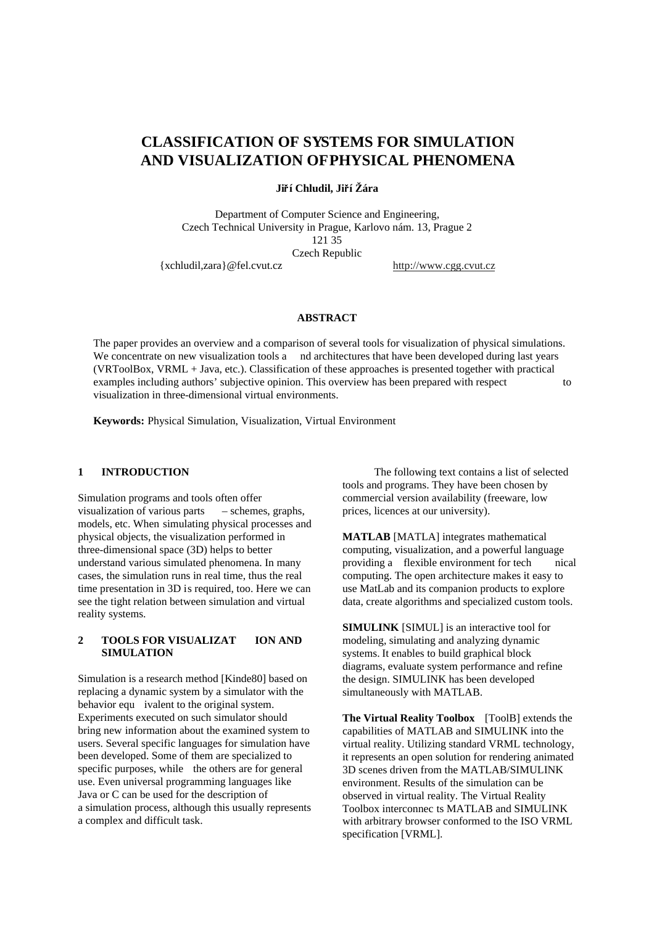# **CLASSIFICATION OF SY STEMS FOR SIMULATION ANDVISUALIZATIONOF PHYSICALPHENOMENA**

JiříChludil,Ji říŽára

Department of Computer Science and Engineering, Czech Technical University in Prague, Karlovonám. 13, Prague 2 12135 **Czech Republic** 

{xchludil,zara}@fel.cvut.cz http://www.cgg.cvut.cz

## **ABSTRACT**

The paper provides an overview and a comparison of several tools for visualization of physical simulations. We concentrate on new visualization tools a nd architectures that have been developed during last years (VRToolBox, VRML + Java, etc.). Classification of these approaches is presented together with practical examples including authors' subjective opinion. This overview has been prepared with respect to to visualization in three -dimensional virtual environments.

**Keywords:** Physical Simulation, Visualization, Virtual Environment

#### **1 INTRODUCTION**

Simulation programs and tools often offer visualization of various parts – schemes, graphs, models, etc. When simulating physical processes and physical objects, the visualization performed in three-dimensional space (3D) helps to better understand various simulated phenomena. In many cases, the simulation runs in real time, thus the real time presentation in 3Di srequired, too. Here we can see the tight relation between simulation and virtual reality systems.

#### **2 TOOLS FOR VISUALIZAT ION AND SIMULATION**

Simulationis are search method [Kinde80] based on replacing adynamics vstem by a simulator with the behavior equ ivalent to the original system. Experiments executed on such simulatorshould bring new information about the examined system to users. Several specific languages for simulation have been developed. Some of the mare specialized to specific purposes, while the others are for general use. Even universal programming languages like JavaorCcanbeusedforthedescription of a simulation process, although this usually represents acomplex and difficult task.

The following text contains alist of selected tools and programs. They have been chosen by commercial version availability (freeware, low prices, licences at our university).

**MATLAB** [MATLA] integrates mathematical computing, visualization, and a powerful language providing a flexible environment for tech nical computing. The open architecture makes ite asy to useMatLabandits companion products to explore data, create algorithms and specialized custom tools.

**SIMULINK** [SIMUL] is an interactive tool for modeling, simulating and analyzing dynamic systems. It enables to build graphical block diagrams, evaluate system performance and refine the design. SIMULINK has been developed simultaneously with MATLAB.

**The Virtual Reality Toolbox** [ToolB] extends the capabilities of MATLAB and SIMULINK into the virtual reality. Utilizing standard VRML technology, it represents an open solution for rendering animated 3D scenes driven from the MATLAB/SIMULINK environment. Results of the simulation can be observed in virtual reality. The Virtual Reality Toolboxinterconnec tsMATLAB and SIMULINK with arbitrary browser conformed to the ISO VRML specification [VRML].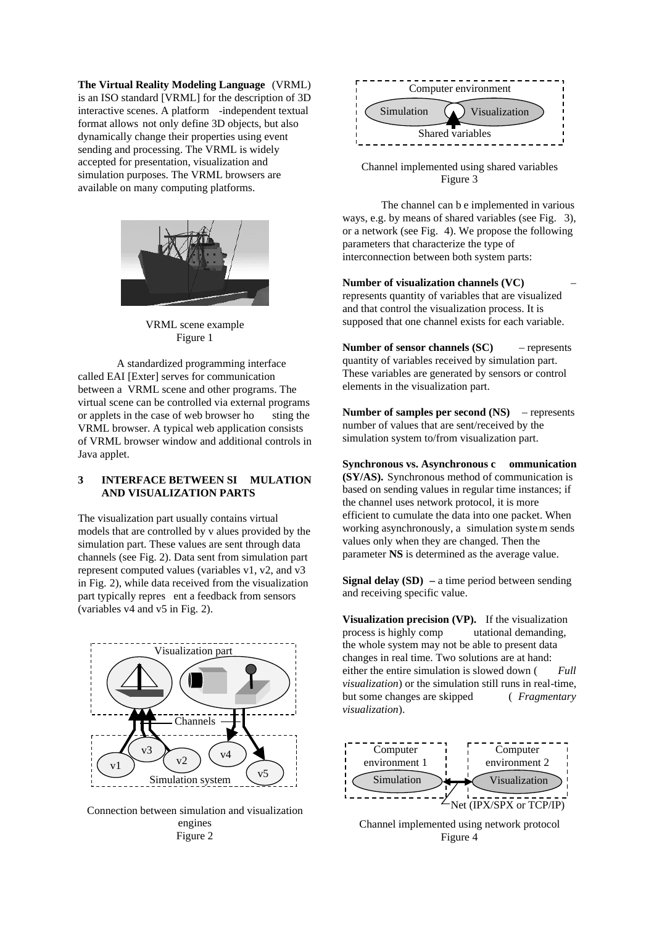**The Virtual Reality Modeling Language** (VRML) is an ISO standard [VRML] for the description of 3D interactivescenes. A platform -independent textual format allows not only define 3D objects, but also dynamically change their properties using event sending and processing. The VRML is widely accepted for presentation, visualization and simulation purposes. The VRML browsers are available on many computing platforms.



**VRML** scene example Figure 1

A standardized programming interface called EAI [Exter] serves for communication betweena VRML scene and other programs. The virtual scene can be controlled via external programs or applets in the case of web browser ho sting the sting the VRML browser. A typical web application consists of VRML browser window and additional controls in Javaapplet.

## **3 INTERFACEBETWEENSI MULATION ANDVISUALIZATIONPA RTS**

The visualization partusually contains virtual models that are controlled by alues provided by the simulation part. These values are sent through data channels (see Fig. 2). Data sent from simulation part  $represent computed values (variables v1, v2, and v3)$ in Fig. 2), while data received from the visualization part typically repres entafeedback from sensors  $(variablesv4 and v5 in Fig. 2).$ 



Connection between simulation and visualization engines Figure<sub>2</sub>



Channel implemented using shared variables Figure 3

The channel can b eimplemented invarious ways, e.g. by means of shared variables (see Fig.  $\qquad \qquad$  3),  $or a network (see Fig. 4). We propose the following$ parameters that characterize the type of interconnection between both system parts:

 $Number of visualization channels (VC)$ represents quantity of variables that are visualized and that control the visualization process. It is supposed that one channel exists for each variable.

Number of sensorchannels (SC) – represents quantity of variables received by simulation part. These variables are generated by sensors or control elements in the visualization part.

Number of samples per second (NS) – represents number of values that are sent/received by the simulationsystem to/from visualization part.

**Synchronousvs. Asynchronous c ommunication (SY/AS).** Synchronous method of communication is based on sending values in regular time instances; if the channel uses network protocol, it is more efficient to cumulate the data into one packet. When working asynchronously, a simulation system sends values only when they are changed. Then the parameter **NS** is determined as the average value.

**Signal delay (SD)** –a time period between sending and receiving specific value.

**Visualization precision (VP).** If the visualization processishighly comp utational demanding, the wholesystemmay not be able to present data  $chanes in real time. Two solutions are a than  $d$ :$ either the entiresimulation is slowed down (*Full visualization*) or the simulation still runs in real -time, but some changes are skipped ( *Fragmentary visualization*).



Channel implemented using network protocol Figure<sup>4</sup>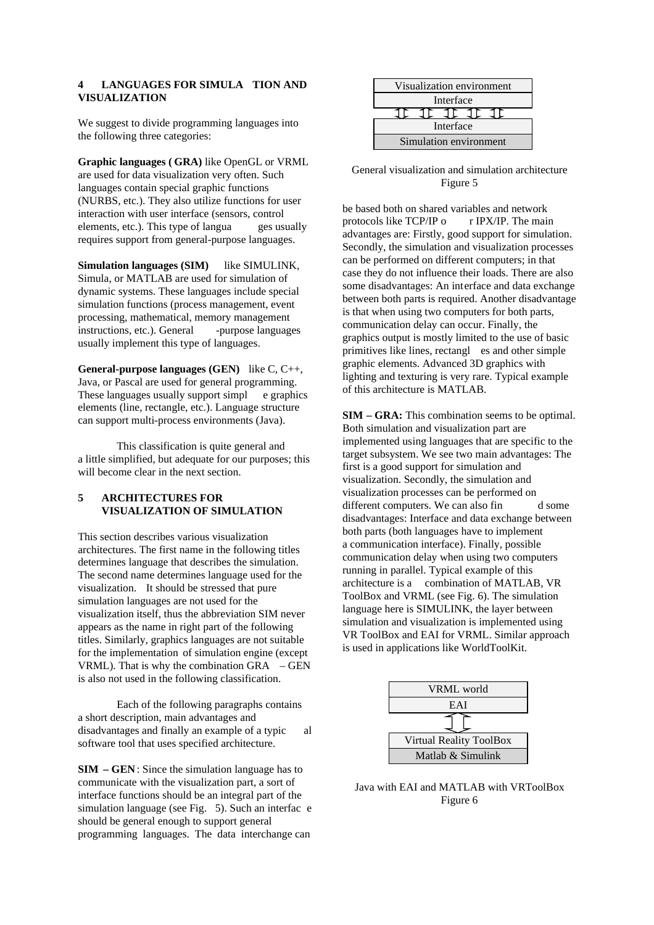## **4 LANGUAGESFORSIMULA TIONAND VISUALIZATION**

We suggest to divide programming languages into the following three categories:

**Graphiclanguages (** $GRA$ **)** like OpenGL or VRML are used for data visualization very often. Such languages contains pecial graphic functions  $(NURBS. etc.).$  They also utilize functions for user interaction with user interface (sensors, control elements, etc.). This type of langua ges usually requires support from general -purpose languages.

**Simulation languages (SIM)** like SIMULINK, Simula, or MATLAB are used for simulation of dynamicsystems. These languages include special simulationfunctions (process management, event processing, mathematical, memory management instructions, etc.). General -purpose languages usually implement this type of languages.

**General-purposelanguages (GEN)** like C, C++, Java, or Pascal are used for general programming. These languages usually support simple egraphics elements (line, rectangle, etc.). Language structure can support multi -process environments (Java).

This classification is quite general and a little simplified, but adequate for our purposes; this will become clear in the next section.

# **5 ARCHITECTURESFOR VISUALIZATIONOFSIM ULATION**

This section describes various visualization architectures. The first name in the following titles determineslanguage that describes the simulation. The second name determines language used for the visualization. It should be stressed that pure simulation languages are not used for the visualization itself, thus the abbreviation SIM never appears as the name in right part of the following titles. Similarly, graphics languages are not suitable for the implementation of simulation engine (except VRML). That is why the combination GRA – GEN is also not used in the following classification.

Each of the following paragraphs contains a short description, main advantages and disadvantages and finally an example of a typic calculation of the typic calculation of the typic distribution of  $\alpha$ software tool that uses specified architecture.

**SIM – GEN** : Since the simulation language has to communicate with the visualization part, as ort of interface functions should be an integral part of the simulation language (see Fig. 5). Such an interfac e should be general enough to support general programming languages. The data interchange can



General visualization and simulation architecture Figure 5

be based both on shared variables and network protocols like TCP/IPo rIPX/IP. The main advantages are: Firstly, goods upport for simulation. Secondly, the simulation and visualization processes can be performed on different computers; in that case they donot influence their loads. There are also somedisadvantages: Anint erface and data exchange between both parts is required. Another disadvantage is that when using two computers for both parts, communication delay can occur. Finally, the graphics output is mostly limited to the use of basic primitives like lines, rectangl es and other simple graphicelements. Advanced 3D graphics with lighting and texturing is very rare. Typical example of this architecture is MATLAB.

**SIM – GRA:** This combination seems to be optimal. Both simulation and visualization partare implemented us ing languages that are specific to the target subsystem. We see two main advantages: The firstisagoodsupportfor simulation and visualization. Secondly, the simulation and visualization processes can be performed on different computers. We can also fin d some disadvantages: Interface and data exchange between both parts (both languages have to implement a communication interface). Finally, possible communication delay when using two computers running in parallel. Typical example of this architecture is a combination of MATLAB, VR ToolBox and VRML (see Fig. 6). The simulation language here is SIMULINK, the layer between simulation and visualization is implemented using VR ToolBox and EAI for VRML. Similar approach is used in applications like WorldToolKit.